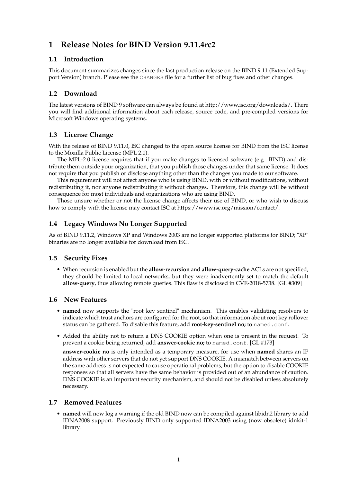# **1 Release Notes for BIND Version 9.11.4rc2**

## **1.1 Introduction**

This document summarizes changes since the last production release on the BIND 9.11 (Extended Support Version) branch. Please see the CHANGES file for a further list of bug fixes and other changes.

# **1.2 Download**

The latest versions of BIND 9 software can always be found at http://www.isc.org/downloads/. There you will find additional information about each release, source code, and pre-compiled versions for Microsoft Windows operating systems.

# **1.3 License Change**

With the release of BIND 9.11.0, ISC changed to the open source license for BIND from the ISC license to the Mozilla Public License (MPL 2.0).

The MPL-2.0 license requires that if you make changes to licensed software (e.g. BIND) and distribute them outside your organization, that you publish those changes under that same license. It does not require that you publish or disclose anything other than the changes you made to our software.

This requirement will not affect anyone who is using BIND, with or without modifications, without redistributing it, nor anyone redistributing it without changes. Therefore, this change will be without consequence for most individuals and organizations who are using BIND.

Those unsure whether or not the license change affects their use of BIND, or who wish to discuss how to comply with the license may contact ISC at https://www.isc.org/mission/contact/.

# **1.4 Legacy Windows No Longer Supported**

As of BIND 9.11.2, Windows XP and Windows 2003 are no longer supported platforms for BIND; "XP" binaries are no longer available for download from ISC.

#### **1.5 Security Fixes**

• When recursion is enabled but the **allow-recursion** and **allow-query-cache** ACLs are not specified, they should be limited to local networks, but they were inadvertently set to match the default **allow-query**, thus allowing remote queries. This flaw is disclosed in CVE-2018-5738. [GL #309]

#### **1.6 New Features**

- **named** now supports the "root key sentinel" mechanism. This enables validating resolvers to indicate which trust anchors are configured for the root, so that information about root key rollover status can be gathered. To disable this feature, add **root-key-sentinel no;** to named.conf.
- Added the ability not to return a DNS COOKIE option when one is present in the request. To prevent a cookie being returned, add **answer-cookie no;** to named.conf. [GL #173]

**answer-cookie no** is only intended as a temporary measure, for use when **named** shares an IP address with other servers that do not yet support DNS COOKIE. A mismatch between servers on the same address is not expected to cause operational problems, but the option to disable COOKIE responses so that all servers have the same behavior is provided out of an abundance of caution. DNS COOKIE is an important security mechanism, and should not be disabled unless absolutely necessary.

#### **1.7 Removed Features**

• **named** will now log a warning if the old BIND now can be compiled against libidn2 library to add IDNA2008 support. Previously BIND only supported IDNA2003 using (now obsolete) idnkit-1 library.